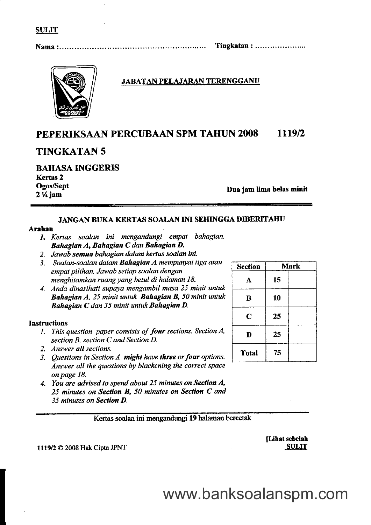**Tingkatan : .....................** 



#### JABATAN PELAJARAN TERENGGANU

### PEPERIKSAAN PERCUBAAN SPM TAHUN 2008 1119/2

### TINGKATAN 5

### **BAHASA INGGERIS** Kertas 2

Ogos/Sept

Ogos/Sept<br>2 % jam lima belas minit

### JANGAN BUKA KERTAS SOALAN INI SEHINGGA DIBERITAHU

#### Arahan

- 1. Kertas soalan ini mengandungi empat bahagian. Bahagian A, Bahagian C dan Bahagian D.
- 2. Jawab semua bahagian dalam kertas soalan ini.
- 3. Soalan-soalan dalam Bahagian A menpunyai tiga atau empat pilihan. Jawdb setiap soalan dengan menghitamkan ruang yang betul di halaman 18.
- 4. Anda dinasihati supaya mengambil masa 25 minit untuk Bahagian A, 25 minit untuk Bahagian B, 50 minit untuk Bahagian C dan 35 minit untuk Bahagian D.

#### Instructions

- I. This question paper consists of four sections. Section A, section B, section C and Section D.
- 2. Answer all sections.
- 3. Questions in Section A might have three or four options. Answer all the questions by blackening the correct space on page 18-
- 4. You are advised to spend about 25 minutes on Section  $A$ , 25 minutes on Section B, 50 minutes on Section C and 35 minutes on Section D.

Kertas soalan ini mengandungi 19 halaman hercetak

ll,ihat sebeloh

#### 1119/2 © 2008 Hak Cipta JPNT

| <b>Section</b><br>A | <b>Mark</b> |
|---------------------|-------------|
|                     | 15          |
| B                   | 10          |
| $\mathbf C$         | 25          |
| D                   | 25          |
| <b>Total</b>        | 75          |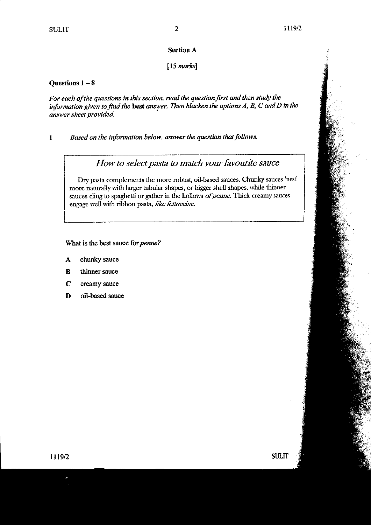#### Section A

#### [15 marks]

#### Questions  $1 - 8$

For each of the questions in this section, read the question first and then study the information given to find the best answer. Then blacken the options  $A$ ,  $B$ ,  $C$  and  $D$  in the answer sheet provided.

Based on the information below, answer the question that follows.  $\mathbf{1}$ 

### How to select pasta to match your favourite sauce

Dry pasta complements the more robust, oil-based sauces. Chunky sauces 'nest' more naturally with larger tubular shapes, or bigger shell shapes, while thinner sauces cling to spaghetti or gather in the hollows of penne. Thick creamy sauces engage well with ribbon pasta, like fettuccine.

What is the best sauce for penne?

- A chunky sauce
- **B** thinner sauce
- C creamy sauce
- D oil-based sauce

1119/2

**SULIT**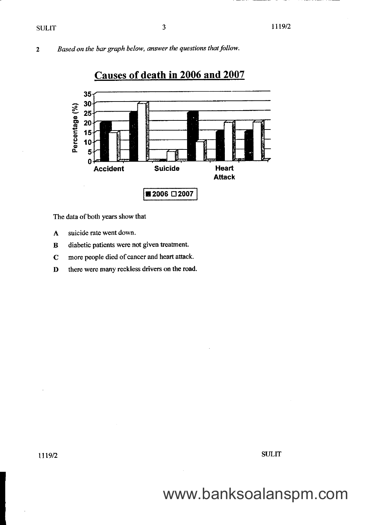Based on the bar graph below, answer the questions that follow.  $\overline{2}$ 



The data of both years show that

- A suicide rate went down.
- B diabetic patients were not given treatment.
- C more people died of cancer and heart attack.
- D there were many reckless drivers on the road.

rne SULIT SULIT SULIT SULIT SULIT SULIT SULIT SULIT SULIT SULIT SULIT SULIT SULIT SULIT SULIT SULIT SULIT SULIT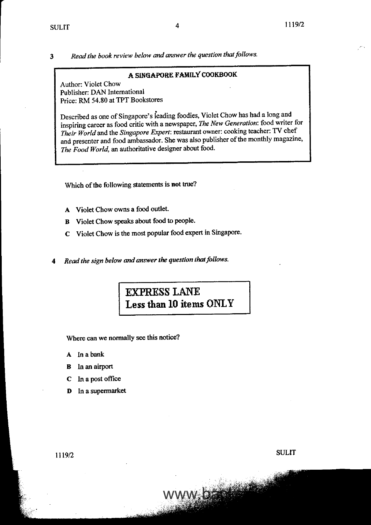Read the book review below and answer the question that follows. 3

### A SINGAPORE FAMILY COOKBOOK

Author: Violet Chow Publisher: DAN lntemational Price: RM 54.80 at TPT Bookstores

Described as one of Singapore's ieading foodies, Violet Chow has had a long and inspiring career as food critic with a newspaper, The New Generation: food writer for Their World and the Singapore Expert: restaurant owner: cooking teacher: TV chef and presenter and food ambassador. She was also publisher of the monthly magazine, The Food World, an authoritative designer about food.

Which of the following statements is not true?

- A Violet Chow owns a food outlet.
- B Violet Chow speaks about food to people.
- C Violet Chow is the most popular food expert in Singapore'
- Read the sign below and answer the question that follows.

## **EXPRESS LANE** Less than 10 items ONLY

Where can we normally see this notice?

- A In a bank
- B ln an airport
- C ln a post offlce
- D In a supermarket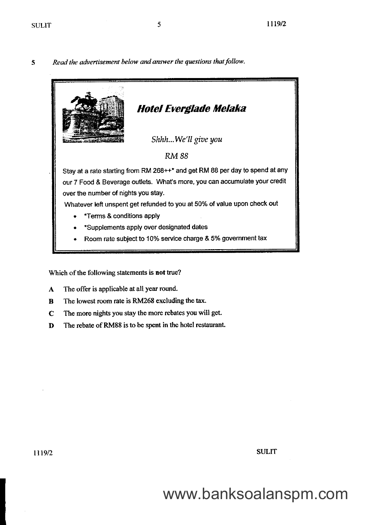#### 5 Read the advertisement below and answer the questions that follow.



Which of the following statements is not true?

- A The offer is applicable at all year round.
- B The lowest room rate is RM268 excluding the tax.
- C The more nights you stay the more rebates you will get.
- D The rebate of RM88 is to be spent in the hotel restaurant.

 $1119/2$  SULIT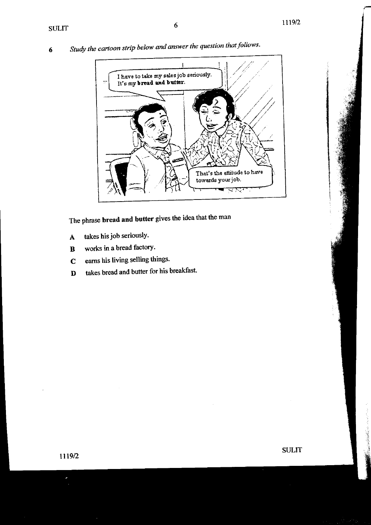

Study the cartoon strip below and answer the question that follows.  $\boldsymbol{6}$ 

The phrase bread and butter gives the idea that the man

- takes his job seriously.  $\overline{\mathbf{A}}$
- works in a bread factory.  $\bf{B}$
- earns his living selling things.  $\mathbf C$
- takes bread and butter for his breakfast.  $\mathbf{D}$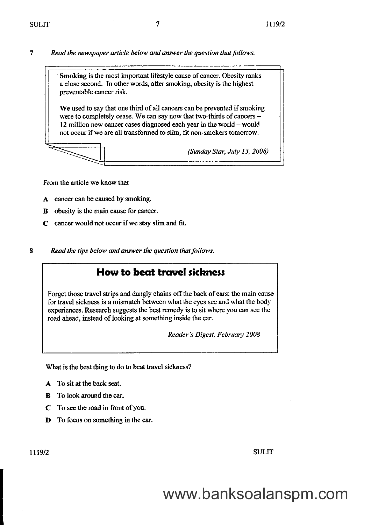$\overline{7}$ Read the newspaper article below and answer the question that follows.

> Smoking is the most important lifestyle cause of cancer, Obesity ranks a close second. In other words, after smoking, obesity is the highest preventable cancer risk.

> We used to say that one third of all cancers can be prevented if smoking were to completely cease. We can say now that two-thirds of cancers -12 million new cancer cases diagnosed each year in the world - would not occur if we are all transformed to slim. fit non-smokers tomorrow.

From the article we know that

- A cancer can be caused by smoking.
- B obesity is the main cause for gancer.
- C cancer would not occur if we stay slim and fit.
- 8 Read the tips below and answer the question that follows.

### How to beat travel sickness

Forget those travel strips and dangly chains off the back of cars: the main cause for travel sickness is a mismatch between what the eyes see and what the body experiences. Research suggests the best remedy is to sit where you can see the road ahead, instead of looking at something inside the car.

Reader's Digest, February 2008

(Sunday Star, July 13, 2008)

What is the best thing to do to beat travel sickness?

- A To sit at the back seat.
- B To look around the car.
- C To see the road in front of you.
- D To focus on something in the car.

1119/2

SULIT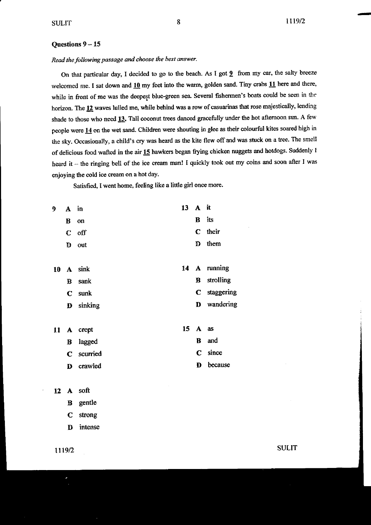#### Questions  $9 - 15$

Read the following passage and choose the best answer.

On that particular day, I decided to go to the beach. As I got  $9$  from my car, the salty breeze welcomed me. I sat down and  $10$  my feet into the warm, golden sand. Tiny crabs  $11$  here and there, while in front of me was the deepest blue-green sea. Several fishermen's boats could be seen in the horizon. The 12 waves lulled me, while behind was a row of casuarinas that rose majestically, lending shade to those who need 13. Tall coconut trees danced gracefully under the hot afternoon sun. A few people were 14 on the wet sand. Children were shouting in glee as their colourful kites soared high in the sky. Occasionally, a child's cry was heard as the kite flew off and was stuck on a tree. The smell of delicious food wafted in the air 15 hawkers began frying chicken nuggets and hotdogs. Suddenly I heard it - the ringing bell of the ice cream man! I quickly took out my coins and soon after I was enjoying the cold ice crearn on a hot day,

Satisfied, I went home, feeling like a litde girl once more.

| 9                | A in           |              |         | $13 \text{ A}$ it |                    |
|------------------|----------------|--------------|---------|-------------------|--------------------|
|                  | B              | on           |         |                   | <b>B</b> its       |
|                  |                | $C$ off      |         | $\mathbf C$       | their              |
|                  |                | <b>D</b> out |         | D                 | them               |
|                  |                |              |         |                   |                    |
| 10 <sup>10</sup> |                | A sink       |         |                   | 14 A running       |
|                  | B              | sank         |         | $\mathbf{B}$      | strolling          |
|                  | $\mathbf{C}$   | sunk         |         |                   | C staggering       |
|                  | D              | sinking      |         |                   | <b>D</b> wandering |
|                  |                |              |         |                   |                    |
|                  | 11 A           | crept        | $15-15$ |                   | A as               |
|                  | B              | lagged       |         | $\bf{B}$          | and                |
|                  | C              | scurried     |         | $\mathbf C$       | since              |
|                  | D              | crawled      |         | D                 | because            |
|                  |                |              |         |                   |                    |
|                  | $12 \text{ A}$ | soft         |         |                   |                    |
|                  | $\bf{B}$       | gentle       |         |                   |                    |

**C** strong

I) intense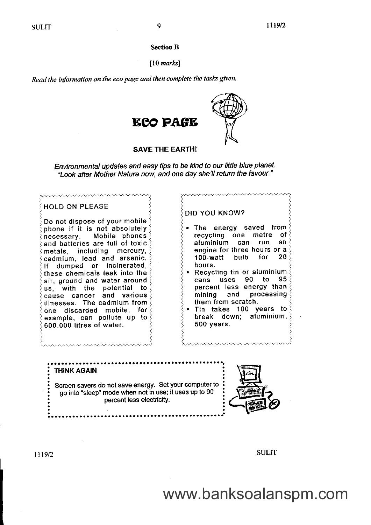#### Section B

|0 narks']

Read the information on the eco page and then complete the tasks given.

## ECO FAGE



#### SAVE THE EARTHI

Environmenta! updates and easy tips to be kind to our liftle blue planet. "Look after Mother Nature now, and one day she'll return the favour."

#### .HOLD ON PLEASE

)!,..',,.'',"..,,...,,..',,....,.\*\*

 $\zeta$ Do not dispose of your mobile phone if it is not absolutely<br>necessary. Mobile phones Mobile phones and batteries are full of toxic metals, including mercury, cadmium, lead and arsenic. lf dumped or incinerated, these chemicals leak into the air, ground and water around us, with the potential to cause cancer and various illnesses. The cadmium from one discarded mobile, for example, can pollute up to 600,000 litres of water.

#### DID YOU KNOW?

- The energy saved from<br>recycling one metre of recycling one metre of aluminium can run engine for three hours or a<br>100-watt bulb for 20 100-watt bulb for hours.
- Recycling tin or aluminium»<br>Cans Luses 90 to 95 cans uses 90 to percent less energy than<br>mining and processing mining and them from scratch.
- Tin takes 100 years to break down; aluminium, 500 years.

**THINK AGAIN** Screen savers do not save energy. Set your computer to go into "sleep" mode when not in use; it uses up to 90 percent less electricity.



1119/2 SULIT

:

.<br>............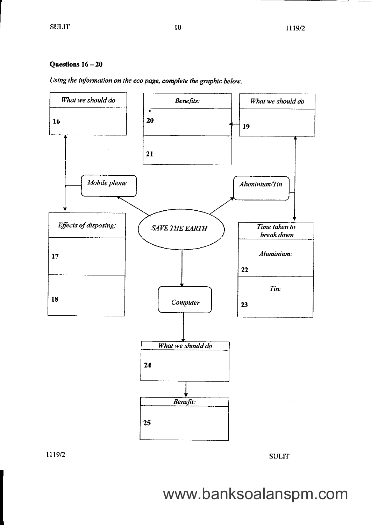#### Questions 16-20



Using the information on the eco page, complete the graphic below.

1119/2

**SULIT**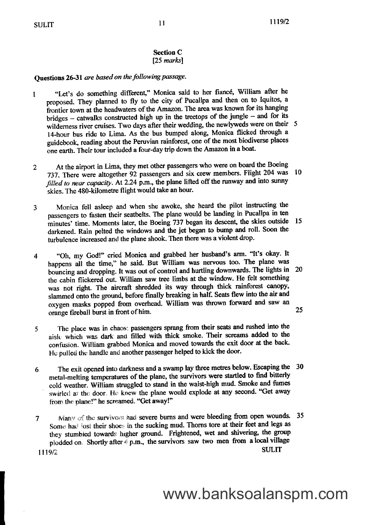#### Section C  $[25$  marks]

#### Questions 26-31 are based on the following passage.

- <sup>1</sup> "Let's do something different," Monica said to her fiance, William after he proposed. They planned to fly to the city of Pucallpa and then on to Iquitos, a frontier town at the headwaters of the Amazon. The area was known for its hanging bridges  $-$  catwalks constructed high up in the treetops of the jungle  $-$  and for its wilderness river cruises. Two days after their wedding, the newlyweds were on their 5 14-hour bus ride to Lima. As the bus bumped along, Monica flicked through a guidebook, reading about the Peruvian rainforest, one of the most biodiverse places one earth. Their tour included a four-day trip down the Amazon in a boat.
- 2 At the airport in Lima, they met other passengers who were on board the Boeing 737. There were altogether 92 passengers and six crew members. Flight 204 was 10 filled to near capacity. At 2.24 p.m., the plane lifted off the runway and into sunny skies. The 480-kilometre flight would take an hour.
- 3 Monica fell asleep and when she awoke, she heard the pilot instructing the passengers to fasten their seatbelts. The plane would be landing in Pucallpa in ten minutes' time. Moments later, the Boeing 737 began its descent, the skies outside 15 darkened. Rain pelted the windows and the jet began to bump and roll. Soon the turbulence increased and the plane shook. Then there was a violent drop.
- <sup>4</sup>\*Oh, my God!" cried Monica and grabbed her husband's arm' "It's okay' It happens all the time," he said. But William was nervous too. The plane was bouncing and dropping. It was out of control and hurtling downwards. The lights in  $20$ the cabin flickered out. William saw tree limbs at the window. He felt something was not right. The aircraft shredded its way through thick rainforest canopy, slammed onto the ground, before finally breaking in half. Seats flew into the air and oxygen masks popped from overhead. William was tlrown forward and saw an orange fireball burst in front of him. 25
- 5 The place was in chaos: passengers sprang from their seats and rushed into the aisle which was dark and filled with thick smoke. Their screams added to the confusion. witliam grabbed Monica and moved towards the exit door at the back He pulled the handle and another passenger helped to kick the door.
- 6 The exit opened into darkness and a swamp lay three metres below. Escaping the 30 metal-melting temperatures of the plane, the survivors were startled to find bitterly cold weather. William struggled to stand in the waist-high mud. Smoke and fumes swirled at the door. He knew the plane would explode at any second. "Get away from the plane!" he screamed. "Get away!"
- 7 Many of the survivors had severe burns and were bleeding from open wounds. Some had lost their shoes in the sucking mud. Thorns tore at their feet and legs as they stumbied towards higher ground. Frightened, wet and shivering, the group plodded on. Shortly after  $4$  p.m., the survivors saw two men from a local village SULIT 35  $1119/2$  SULIT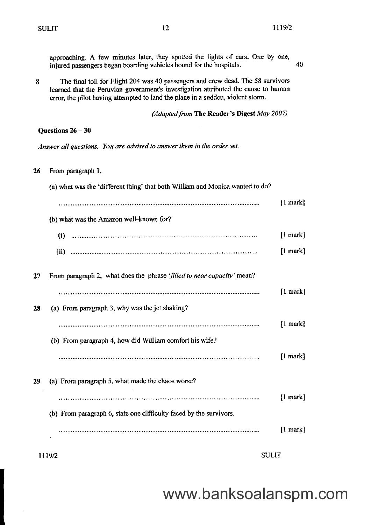|    | approaching. A few minutes later, they spotted the lights of cars. One by one,<br>injured passengers began boarding vehicles bound for the hospitals.                                                                                                    | 40                 |
|----|----------------------------------------------------------------------------------------------------------------------------------------------------------------------------------------------------------------------------------------------------------|--------------------|
| 8  | The final toll for Flight 204 was 40 passengers and crew dead. The 58 survivors<br>learned that the Peruvian government's investigation attributed the cause to human<br>error, the pilot having attempted to land the plane in a sudden, violent storm. |                    |
|    | (Adapted from The Reader's Digest May 2007)                                                                                                                                                                                                              |                    |
|    | Questions $26 - 30$                                                                                                                                                                                                                                      |                    |
|    | Answer all questions. You are advised to answer them in the order set.                                                                                                                                                                                   |                    |
| 26 | From paragraph 1,                                                                                                                                                                                                                                        |                    |
|    | (a) what was the 'different thing' that both William and Monica wanted to do?                                                                                                                                                                            |                    |
|    |                                                                                                                                                                                                                                                          | $[1$ mark]         |
|    | (b) what was the Amazon well-known for?                                                                                                                                                                                                                  |                    |
|    |                                                                                                                                                                                                                                                          | $[1$ mark]         |
|    |                                                                                                                                                                                                                                                          | $[1$ mark]         |
| 27 | From paragraph 2, what does the phrase 'filled to near capacity' mean?                                                                                                                                                                                   |                    |
|    |                                                                                                                                                                                                                                                          | $[1$ mark]         |
| 28 | (a) From paragraph 3, why was the jet shaking?                                                                                                                                                                                                           |                    |
|    |                                                                                                                                                                                                                                                          | $\lceil$ 1 mark]   |
|    | (b) From paragraph 4, how did William comfort his wife?                                                                                                                                                                                                  |                    |
|    |                                                                                                                                                                                                                                                          | $[1$ mark $]$      |
| 29 | (a) From paragraph 5, what made the chaos worse?                                                                                                                                                                                                         |                    |
|    |                                                                                                                                                                                                                                                          | $[1 \text{ mark}]$ |
|    | (b) From paragraph 6, state one difficulty faced by the survivors.                                                                                                                                                                                       |                    |
|    |                                                                                                                                                                                                                                                          | $[1$ mark]         |
|    |                                                                                                                                                                                                                                                          |                    |

 $1119/2$  SULIT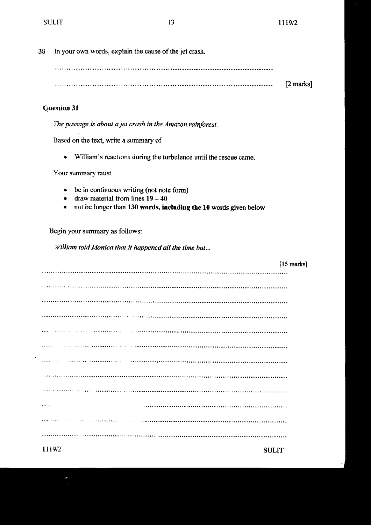30 In your own words, explain the cause of the jet crash.

[2 marks] 

#### Quesrion 3l

The passage is about a jet crash in the Amazon rainforest.

Based on the text, write a summary of

o William's reactions during the turbulence until the rescue came.

Your summary must

- $\bullet$  be in continuous writing (not note form)
- draw material from lines  $19-40$
- not be longer than 130 words, including the 10 words given below

Begin your summary as follows:

William told Monica that it happened all the time but...

| 1119/2<br><b>SULIT</b> |
|------------------------|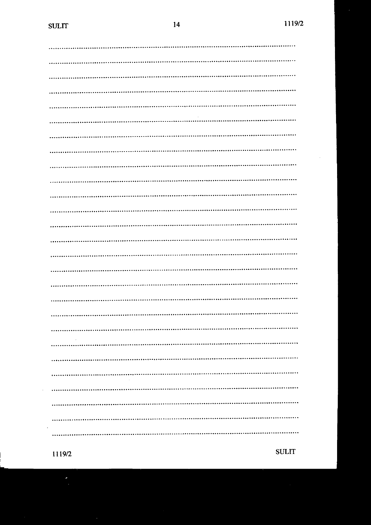| $\sim 10^{-1}$ |
|----------------|
|                |
|                |
|                |
|                |

 $14$ 

 $\hat{\boldsymbol{\gamma}}$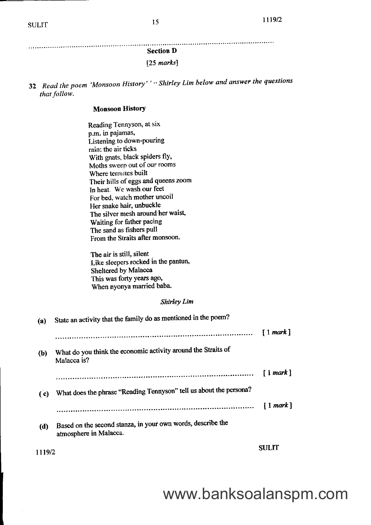;;;ii;;; 

125 narks'!

32 Read the poem 'Monsoon History' ' " Shirley Lim below and answer the questions that follow.

#### Monsoon History

Reading Tennyson, at six p.m. in pajamas, Listening to down-Pouring rain: the air ticks With gnats, black spiders fly, Moths sweep out of our rooms Where termites built Their hiils of eggs and queens zoom In heat. We wash our feet For bed, watch mother uncoil Her snako hair, unbuckle The silver mesh around her waist, Waiting for father pacing The sand as fishers pull From the Straits after monsoon.

The air is still, silent Like sleepers rocked in the pantun, Sheltered bY Malacca This was forty years ago, When nyonya married baba.

#### Shirley Lim

| (a)    | State an activity that the family do as mentioned in the poem?                        |             |
|--------|---------------------------------------------------------------------------------------|-------------|
|        |                                                                                       | [1 mark]    |
| (b)    | What do you think the economic activity around the Straits of<br>Malacca is?          |             |
|        |                                                                                       | [1 mark]    |
| (c)    | What does the phrase "Reading Tennyson" tell us about the persona?                    |             |
|        |                                                                                       | $[1$ mark ] |
| (d)    | Based on the second stanza, in your own words, describe the<br>atmosphere in Malacca. |             |
| 1119/2 |                                                                                       | SULFI       |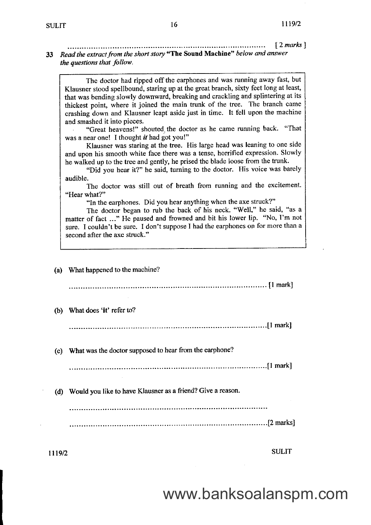#### 12 marks l 12 m<br>33 Read the extract from the short story **"The Sound Machine"** below and answer the questions that follow.

The doctor had ripped off the earphones and was running away fast, but Klausner stood spellbound, staring up at the great branch, sixty feet long at least, that was bending slowly downward, breaking and crackling and splintering at its thickest point, where it joined the main trunk of the tree. The branch came crashing down and Klausner leapt aside just in time. It fell upon the machine and smashed it into pieces.

"Great heavens!" shouted the doctor as he came running back. "That was a near one! I thought it had got you!"

Klausner was staring at the tree. His large head was leaning to one side and upon his smooth white face there was a tense, horrified expression. Slowly he walked up to the tree and gently, he prised the blade loose from the trunk.

"Did you hear it?" he said, turning to thc doctor. His voice was barely audible.

The doctor was still out of breath from running and the excitement. "Hear what?"

"In the earphones. Did you hear anything whcn the axe struck?"

The doctor began to rub the back of his neck. "Well," he said, "as a matter of fact ..." He paused and frowned and bit his lower lip. "No, I'm not sure. I couldn't be sure. I don't suppose I had the earphones on for more than a second after the axe struck."

(a) What happened to the machine?

I I mark] (b) What does 'it' refer to? .! markl (c) What was the doctor supposed to hear from the earphone? I mark] (d) Would you like to have Klausner as a friend? Give a reason. [2 marks]

the sum of the state of the state of the state of the state of the state of the state of the state of the state of the state of the state of the state of the state of the state of the state of the state of the state of the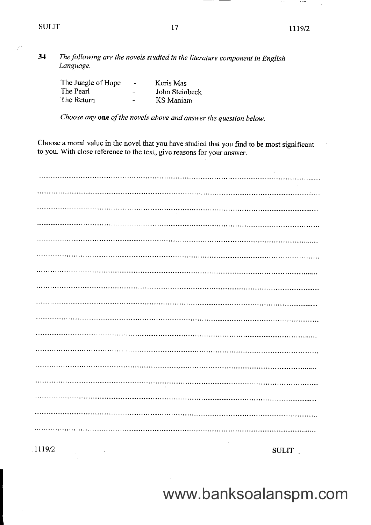34 The following are the novels studied in the literature component in English Language.

| The Jungle of Hope | $\overline{\phantom{0}}$ | Keris Mas      |
|--------------------|--------------------------|----------------|
| The Pearl          | $\overline{\phantom{a}}$ | John Steinbeck |
| The Return         | $\blacksquare$           | KS Maniam      |

Choose any one of the novels above and answer the question below.

choose a moral value in the novel that you have studied that you find to be most significant to you. With close reference to the text, give reasons for your answer.

| 1119/2<br>$\sim 100$ km $^{-1}$ | <b>SULIT</b> |
|---------------------------------|--------------|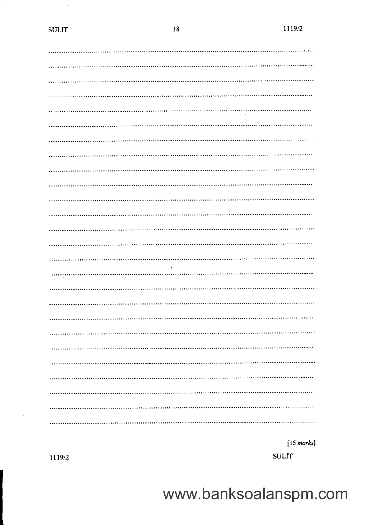$\sim$ 

 $\ddot{\phantom{a}}$ 

 $\sim$ 

 $\bar{\beta}$ 

L

| 1119/2 | <b>SULIT</b>    |
|--------|-----------------|
|        | $[15$ marks $]$ |
|        |                 |
|        |                 |
|        |                 |
|        |                 |
|        |                 |
|        |                 |
|        |                 |
|        |                 |
|        |                 |
|        |                 |
|        |                 |
|        |                 |
|        |                 |
|        |                 |
|        |                 |
|        |                 |
|        |                 |
|        |                 |
|        |                 |
|        |                 |
|        |                 |
|        |                 |
|        |                 |
|        |                 |
|        |                 |
|        |                 |

18